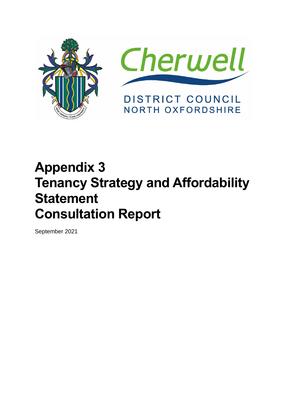



# **Appendix 3 Tenancy Strategy and Affordability Statement Consultation Report**

September 2021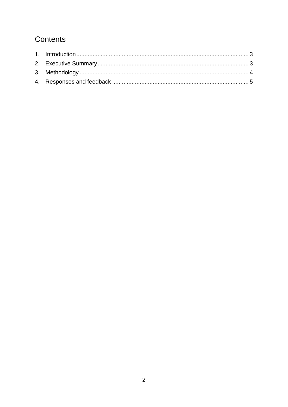# Contents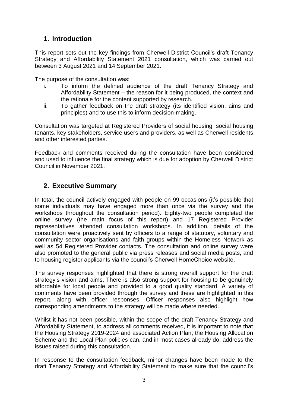# <span id="page-2-0"></span>**1. Introduction**

This report sets out the key findings from Cherwell District Council's draft Tenancy Strategy and Affordability Statement 2021 consultation, which was carried out between 3 August 2021 and 14 September 2021.

The purpose of the consultation was:

- i. To inform the defined audience of the draft Tenancy Strategy and Affordability Statement – the reason for it being produced, the context and the rationale for the content supported by research.
- ii. To gather feedback on the draft strategy (its identified vision, aims and principles) and to use this to inform decision-making.

Consultation was targeted at Registered Providers of social housing, social housing tenants, key stakeholders, service users and providers, as well as Cherwell residents and other interested parties.

Feedback and comments received during the consultation have been considered and used to influence the final strategy which is due for adoption by Cherwell District Council in November 2021.

# <span id="page-2-1"></span>**2. Executive Summary**

In total, the council actively engaged with people on 99 occasions (it's possible that some individuals may have engaged more than once via the survey and the workshops throughout the consultation period). Eighty-two people completed the online survey (the main focus of this report) and 17 Registered Provider representatives attended consultation workshops. In addition, details of the consultation were proactively sent by officers to a range of statutory, voluntary and community sector organisations and faith groups within the Homeless Network as well as 54 Registered Provider contacts. The consultation and online survey were also promoted to the general public via press releases and social media posts, and to housing register applicants via the council's Cherwell HomeChoice website.

The survey responses highlighted that there is strong overall support for the draft strategy's vision and aims. There is also strong support for housing to be genuinely affordable for local people and provided to a good quality standard. A variety of comments have been provided through the survey and these are highlighted in this report, along with officer responses. Officer responses also highlight how corresponding amendments to the strategy will be made where needed.

Whilst it has not been possible, within the scope of the draft Tenancy Strategy and Affordability Statement, to address all comments received, it is important to note that the Housing Strategy 2019-2024 and associated Action Plan; the Housing Allocation Scheme and the Local Plan policies can, and in most cases already do, address the issues raised during this consultation.

In response to the consultation feedback, minor changes have been made to the draft Tenancy Strategy and Affordability Statement to make sure that the council's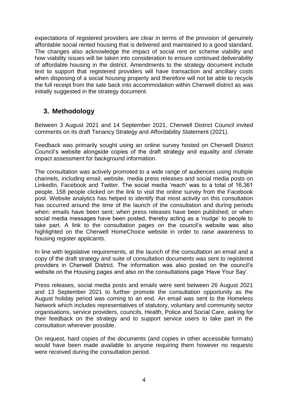expectations of registered providers are clear in terms of the provision of genuinely affordable social rented housing that is delivered and maintained to a good standard. The changes also acknowledge the impact of social rent on scheme viability and how viability issues will be taken into consideration to ensure continued deliverability of affordable housing in the district. Amendments to the strategy document include text to support that registered providers will have transaction and ancillary costs when disposing of a social housing property and therefore will not be able to recycle the full receipt from the sale back into accommodation within Cherwell district as was initially suggested in the strategy document.

# <span id="page-3-0"></span>**3. Methodology**

Between 3 August 2021 and 14 September 2021, Cherwell District Council invited comments on its draft Tenancy Strategy and Affordability Statement (2021).

Feedback was primarily sought using an online survey hosted on Cherwell District Council's website alongside copies of the draft strategy and equality and climate impact assessment for background information.

The consultation was actively promoted to a wide range of audiences using multiple channels, including email, website, media press releases and social media posts on LinkedIn, Facebook and Twitter. The social media 'reach' was to a total of 16,361 people. 158 people clicked on the link to visit the online survey from the Facebook post. Website analytics has helped to identify that most activity on this consultation has occurred around the time of the launch of the consultation and during periods when: emails have been sent; when press releases have been published; or when social media messages have been posted, thereby acting as a 'nudge' to people to take part. A link to the consultation pages on the council's website was also highlighted on the Cherwell HomeChoice website in order to raise awareness to housing register applicants.

In line with legislative requirements, at the launch of the consultation an email and a copy of the draft strategy and suite of consultation documents was sent to registered providers in Cherwell District. The information was also posted on the council's website on the Housing pages and also on the consultations page 'Have Your Say'.

Press releases, social media posts and emails were sent between 26 August 2021 and 13 September 2021 to further promote the consultation opportunity as the August holiday period was coming to an end. An email was sent to the Homeless Network which includes representatives of statutory, voluntary and community sector organisations, service providers, councils, Health, Police and Social Care, asking for their feedback on the strategy and to support service users to take part in the consultation wherever possible.

On request, hard copies of the documents (and copies in other accessible formats) would have been made available to anyone requiring them however no requests were received during the consultation period.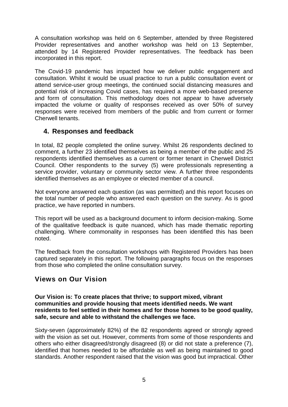A consultation workshop was held on 6 September, attended by three Registered Provider representatives and another workshop was held on 13 September, attended by 14 Registered Provider representatives. The feedback has been incorporated in this report.

The Covid-19 pandemic has impacted how we deliver public engagement and consultation. Whilst it would be usual practice to run a public consultation event or attend service-user group meetings, the continued social distancing measures and potential risk of increasing Covid cases, has required a more web-based presence and form of consultation. This methodology does not appear to have adversely impacted the volume or quality of responses received as over 50% of survey responses were received from members of the public and from current or former Cherwell tenants.

#### <span id="page-4-0"></span>**4. Responses and feedback**

In total, 82 people completed the online survey. Whilst 26 respondents declined to comment, a further 23 identified themselves as being a member of the public and 25 respondents identified themselves as a current or former tenant in Cherwell District Council. Other respondents to the survey (5) were professionals representing a service provider, voluntary or community sector view. A further three respondents identified themselves as an employee or elected member of a council.

Not everyone answered each question (as was permitted) and this report focuses on the total number of people who answered each question on the survey. As is good practice, we have reported in numbers.

This report will be used as a background document to inform decision-making. Some of the qualitative feedback is quite nuanced, which has made thematic reporting challenging. Where commonality in responses has been identified this has been noted.

The feedback from the consultation workshops with Registered Providers has been captured separately in this report. The following paragraphs focus on the responses from those who completed the online consultation survey.

# **Views on Our Vision**

**Our Vision is: To create places that thrive; to support mixed, vibrant communities and provide housing that meets identified needs. We want residents to feel settled in their homes and for those homes to be good quality, safe, secure and able to withstand the challenges we face.** 

Sixty-seven (approximately 82%) of the 82 respondents agreed or strongly agreed with the vision as set out. However, comments from some of those respondents and others who either disagreed/strongly disagreed (8) or did not state a preference (7), identified that homes needed to be affordable as well as being maintained to good standards. Another respondent raised that the vision was good but impractical. Other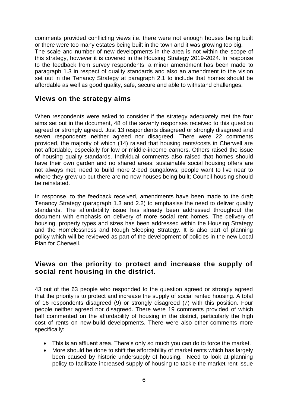comments provided conflicting views i.e. there were not enough houses being built or there were too many estates being built in the town and it was growing too big. The scale and number of new developments in the area is not within the scope of this strategy, however it is covered in the Housing Strategy 2019-2024. In response to the feedback from survey respondents, a minor amendment has been made to paragraph 1.3 in respect of quality standards and also an amendment to the vision set out in the Tenancy Strategy at paragraph 2.1 to include that homes should be affordable as well as good quality, safe, secure and able to withstand challenges.

# **Views on the strategy aims**

When respondents were asked to consider if the strategy adequately met the four aims set out in the document, 48 of the seventy responses received to this question agreed or strongly agreed. Just 13 respondents disagreed or strongly disagreed and seven respondents neither agreed nor disagreed. There were 22 comments provided, the majority of which (14) raised that housing rents/costs in Cherwell are not affordable, especially for low or middle-income earners. Others raised the issue of housing quality standards. Individual comments also raised that homes should have their own garden and no shared areas; sustainable social housing offers are not always met; need to build more 2-bed bungalows; people want to live near to where they grew up but there are no new houses being built; Council housing should be reinstated.

In response, to the feedback received, amendments have been made to the draft Tenancy Strategy (paragraph 1.3 and 2.2) to emphasise the need to deliver quality standards. The affordability issue has already been addressed throughout the document with emphasis on delivery of more social rent homes. The delivery of housing, property types and sizes has been addressed within the Housing Strategy and the Homelessness and Rough Sleeping Strategy. It is also part of planning policy which will be reviewed as part of the development of policies in the new Local Plan for Cherwell.

#### **Views on the priority to protect and increase the supply of social rent housing in the district.**

43 out of the 63 people who responded to the question agreed or strongly agreed that the priority is to protect and increase the supply of social rented housing. A total of 16 respondents disagreed (9) or strongly disagreed (7) with this position. Four people neither agreed nor disagreed. There were 19 comments provided of which half commented on the affordability of housing in the district, particularly the high cost of rents on new-build developments. There were also other comments more specifically:

- This is an affluent area. There's only so much you can do to force the market.
- More should be done to shift the affordability of market rents which has largely been caused by historic undersupply of housing. Need to look at planning policy to facilitate increased supply of housing to tackle the market rent issue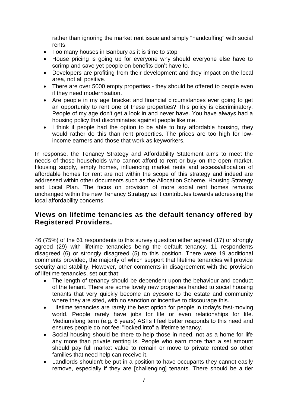rather than ignoring the market rent issue and simply "handcuffing" with social rents.

- Too many houses in Banbury as it is time to stop
- House pricing is going up for everyone why should everyone else have to scrimp and save yet people on benefits don't have to.
- Developers are profiting from their development and they impact on the local area, not all positive.
- There are over 5000 empty properties they should be offered to people even if they need modernisation.
- Are people in my age bracket and financial circumstances ever going to get an opportunity to rent one of these properties? This policy is discriminatory. People of my age don't get a look in and never have. You have always had a housing policy that discriminates against people like me.
- I think if people had the option to be able to buy affordable housing, they would rather do this than rent properties. The prices are too high for lowincome earners and those that work as keyworkers.

In response, the Tenancy Strategy and Affordability Statement aims to meet the needs of those households who cannot afford to rent or buy on the open market. Housing supply, empty homes, influencing market rents and access/allocation of affordable homes for rent are not within the scope of this strategy and indeed are addressed within other documents such as the Allocation Scheme, Housing Strategy and Local Plan. The focus on provision of more social rent homes remains unchanged within the new Tenancy Strategy as it contributes towards addressing the local affordability concerns.

# **Views on lifetime tenancies as the default tenancy offered by Registered Providers.**

46 (75%) of the 61 respondents to this survey question either agreed (17) or strongly agreed (29) with lifetime tenancies being the default tenancy. 11 respondents disagreed (6) or strongly disagreed (5) to this position. There were 19 additional comments provided, the majority of which support that lifetime tenancies will provide security and stability. However, other comments in disagreement with the provision of lifetime tenancies, set out that:

- The length of tenancy should be dependent upon the behaviour and conduct of the tenant. There are some lovely new properties handed to social housing tenants that very quickly become an eyesore to the estate and community where they are sited, with no sanction or incentive to discourage this.
- Lifetime tenancies are rarely the best option for people in today's fast-moving world. People rarely have jobs for life or even relationships for life. Medium/long term (e.g. 6 years) ASTs I feel better responds to this need and ensures people do not feel "locked into" a lifetime tenancy.
- Social housing should be there to help those in need, not as a home for life any more than private renting is. People who earn more than a set amount should pay full market value to remain or move to private rented so other families that need help can receive it.
- Landlords shouldn't be put in a position to have occupants they cannot easily remove, especially if they are [challenging] tenants. There should be a tier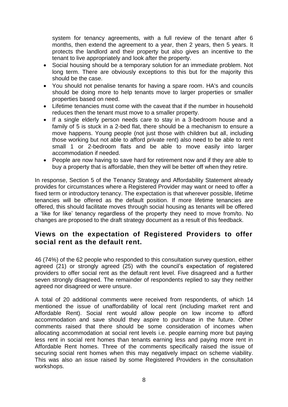system for tenancy agreements, with a full review of the tenant after 6 months, then extend the agreement to a year, then 2 years, then 5 years. It protects the landlord and their property but also gives an incentive to the tenant to live appropriately and look after the property.

- Social housing should be a temporary solution for an immediate problem. Not long term. There are obviously exceptions to this but for the majority this should be the case.
- You should not penalise tenants for having a spare room. HA's and councils should be doing more to help tenants move to larger properties or smaller properties based on need.
- Lifetime tenancies must come with the caveat that if the number in household reduces then the tenant must move to a smaller property.
- If a single elderly person needs care to stay in a 3-bedroom house and a family of 5 is stuck in a 2-bed flat, there should be a mechanism to ensure a move happens. Young people (not just those with children but all, including those working but not able to afford private rent) also need to be able to rent small 1 or 2-bedroom flats and be able to move easily into larger accommodation if needed.
- People are now having to save hard for retirement now and if they are able to buy a property that is affordable, then they will be better off when they retire.

In response, Section 5 of the Tenancy Strategy and Affordability Statement already provides for circumstances where a Registered Provider may want or need to offer a fixed term or introductory tenancy. The expectation is that wherever possible, lifetime tenancies will be offered as the default position. If more lifetime tenancies are offered, this should facilitate moves through social housing as tenants will be offered a 'like for like' tenancy regardless of the property they need to move from/to. No changes are proposed to the draft strategy document as a result of this feedback.

#### **Views on the expectation of Registered Providers to offer social rent as the default rent.**

46 (74%) of the 62 people who responded to this consultation survey question, either agreed (21) or strongly agreed (25) with the council's expectation of registered providers to offer social rent as the default rent level. Five disagreed and a further seven strongly disagreed. The remainder of respondents replied to say they neither agreed nor disagreed or were unsure.

A total of 20 additional comments were received from respondents, of which 14 mentioned the issue of unaffordability of local rent (including market rent and Affordable Rent). Social rent would allow people on low income to afford accommodation and save should they aspire to purchase in the future. Other comments raised that there should be some consideration of incomes when allocating accommodation at social rent levels i.e. people earning more but paying less rent in social rent homes than tenants earning less and paying more rent in Affordable Rent homes. Three of the comments specifically raised the issue of securing social rent homes when this may negatively impact on scheme viability. This was also an issue raised by some Registered Providers in the consultation workshops.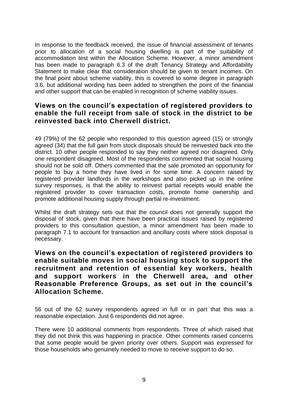In response to the feedback received, the issue of financial assessment of tenants prior to allocation of a social housing dwelling is part of the suitability of accommodation test within the Allocation Scheme. However, a minor amendment has been made to paragraph 6.3 of the draft Tenancy Strategy and Affordability Statement to make clear that consideration should be given to tenant incomes. On the final point about scheme viability, this is covered to some degree in paragraph 3.6, but additional wording has been added to strengthen the point of the financial and other support that can be enabled in recognition of scheme viability issues.

#### **Views on the council's expectation of registered providers to enable the full receipt from sale of stock in the district to be reinvested back into Cherwell district.**

49 (79%) of the 62 people who responded to this question agreed (15) or strongly agreed (34) that the full gain from stock disposals should be reinvested back into the district. 10 other people responded to say they neither agreed nor disagreed. Only one respondent disagreed. Most of the respondents commented that social housing should not be sold off. Others commented that the sale promoted an opportunity for people to buy a home they have lived in for some time. A concern raised by registered provider landlords in the workshops and also picked up in the online survey responses, is that the ability to reinvest partial receipts would enable the registered provider to cover transaction costs, promote home ownership and promote additional housing supply through partial re-investment.

Whilst the draft strategy sets out that the council does not generally support the disposal of stock, given that there have been practical issues raised by registered providers to this consultation question, a minor amendment has been made to paragraph 7.1 to account for transaction and ancillary costs where stock disposal is necessary.

#### **Views on the council's expectation of registered providers to enable suitable moves in social housing stock to support the recruitment and retention of essential key workers, health and support workers in the Cherwell area, and other Reasonable Preference Groups, as set out in the council's Allocation Scheme.**

56 out of the 62 survey respondents agreed in full or in part that this was a reasonable expectation. Just 6 respondents did not agree.

There were 10 additional comments from respondents. Three of which raised that they did not think this was happening in practice. Other comments raised concerns that some people would be given priority over others. Support was expressed for those households who genuinely needed to move to receive support to do so.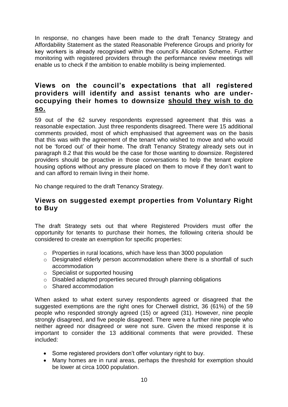In response, no changes have been made to the draft Tenancy Strategy and Affordability Statement as the stated Reasonable Preference Groups and priority for key workers is already recognised within the council's Allocation Scheme. Further monitoring with registered providers through the performance review meetings will enable us to check if the ambition to enable mobility is being implemented.

# **Views on the council's expectations that all registered providers will identify and assist tenants who are underoccupying their homes to downsize should they wish to do so.**

59 out of the 62 survey respondents expressed agreement that this was a reasonable expectation. Just three respondents disagreed. There were 15 additional comments provided, most of which emphasised that agreement was on the basis that this was with the agreement of the tenant who wished to move and who would not be 'forced out' of their home. The draft Tenancy Strategy already sets out in paragraph 8.2 that this would be the case for those wanting to downsize. Registered providers should be proactive in those conversations to help the tenant explore housing options without any pressure placed on them to move if they don't want to and can afford to remain living in their home.

No change required to the draft Tenancy Strategy.

#### **Views on suggested exempt properties from Voluntary Right to Buy**

The draft Strategy sets out that where Registered Providers must offer the opportunity for tenants to purchase their homes, the following criteria should be considered to create an exemption for specific properties:

- o Properties in rural locations, which have less than 3000 population
- o Designated elderly person accommodation where there is a shortfall of such accommodation
- o Specialist or supported housing
- o Disabled adapted properties secured through planning obligations
- o Shared accommodation

When asked to what extent survey respondents agreed or disagreed that the suggested exemptions are the right ones for Cherwell district, 36 (61%) of the 59 people who responded strongly agreed (15) or agreed (31). However, nine people strongly disagreed, and five people disagreed. There were a further nine people who neither agreed nor disagreed or were not sure. Given the mixed response it is important to consider the 13 additional comments that were provided. These included:

- Some registered providers don't offer voluntary right to buy.
- Many homes are in rural areas, perhaps the threshold for exemption should be lower at circa 1000 population.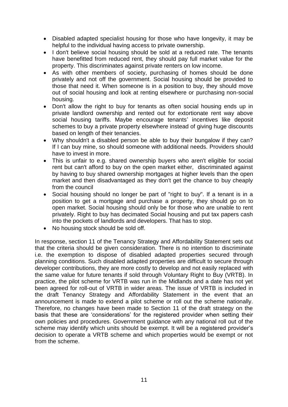- Disabled adapted specialist housing for those who have longevity, it may be helpful to the individual having access to private ownership.
- I don't believe social housing should be sold at a reduced rate. The tenants have benefitted from reduced rent, they should pay full market value for the property. This discriminates against private renters on low income.
- As with other members of society, purchasing of homes should be done privately and not off the government. Social housing should be provided to those that need it. When someone is in a position to buy, they should move out of social housing and look at renting elsewhere or purchasing non-social housing.
- Don't allow the right to buy for tenants as often social housing ends up in private landlord ownership and rented out for extortionate rent way above social housing tariffs. Maybe encourage tenants' incentives like deposit schemes to buy a private property elsewhere instead of giving huge discounts based on length of their tenancies.
- Why shouldn't a disabled person be able to buy their bungalow if they can? If I can buy mine, so should someone with additional needs. Providers should have to invest in more.
- This is unfair to e.g. shared ownership buyers who aren't eligible for social rent but can't afford to buy on the open market either, discriminated against by having to buy shared ownership mortgages at higher levels than the open market and then disadvantaged as they don't get the chance to buy cheaply from the council
- Social housing should no longer be part of "right to buy". If a tenant is in a position to get a mortgage and purchase a property, they should go on to open market. Social housing should only be for those who are unable to rent privately. Right to buy has decimated Social housing and put tax papers cash into the pockets of landlords and developers. That has to stop.
- No housing stock should be sold off.

In response, section 11 of the Tenancy Strategy and Affordability Statement sets out that the criteria should be given consideration. There is no intention to discriminate i.e. the exemption to dispose of disabled adapted properties secured through planning conditions. Such disabled adapted properties are difficult to secure through developer contributions, they are more costly to develop and not easily replaced with the same value for future tenants if sold through Voluntary Right to Buy (VRTB). In practice, the pilot scheme for VRTB was run in the Midlands and a date has not yet been agreed for roll-out of VRTB in wider areas. The issue of VRTB is included in the draft Tenancy Strategy and Affordability Statement in the event that an announcement is made to extend a pilot scheme or roll out the scheme nationally. Therefore, no changes have been made to Section 11 of the draft strategy on the basis that these are 'considerations' for the registered provider when setting their own policies and procedures. Government guidance with any national roll out of the scheme may identify which units should be exempt. It will be a registered provider's decision to operate a VRTB scheme and which properties would be exempt or not from the scheme.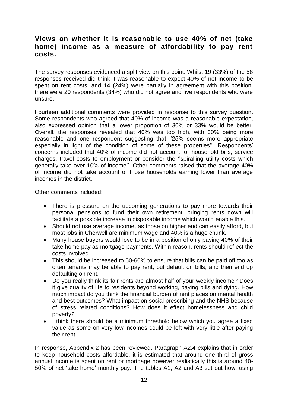# **Views on whether it is reasonable to use 40% of net (take home) income as a measure of affordability to pay rent costs.**

The survey responses evidenced a split view on this point. Whilst 19 (33%) of the 58 responses received did think it was reasonable to expect 40% of net income to be spent on rent costs, and 14 (24%) were partially in agreement with this position, there were 20 respondents (34%) who did not agree and five respondents who were unsure.

Fourteen additional comments were provided in response to this survey question. Some respondents who agreed that 40% of income was a reasonable expectation, also expressed opinion that a lower proportion of 30% or 33% would be better. Overall, the responses revealed that 40% was too high, with 30% being more reasonable and one respondent suggesting that ''25% seems more appropriate especially in light of the condition of some of these properties''. Respondents' concerns included that 40% of income did not account for household bills, service charges, travel costs to employment or consider the ''spiralling utility costs which generally take over 10% of income''. Other comments raised that the average 40% of income did not take account of those households earning lower than average incomes in the district.

Other comments included:

- There is pressure on the upcoming generations to pay more towards their personal pensions to fund their own retirement, bringing rents down will facilitate a possible increase in disposable income which would enable this.
- Should not use average income, as those on higher end can easily afford, but most jobs in Cherwell are minimum wage and 40% is a huge chunk.
- Many house buyers would love to be in a position of only paying 40% of their take home pay as mortgage payments. Within reason, rents should reflect the costs involved.
- This should be increased to 50-60% to ensure that bills can be paid off too as often tenants may be able to pay rent, but default on bills, and then end up defaulting on rent.
- Do you really think its fair rents are almost half of your weekly income? Does it give quality of life to residents beyond working, paying bills and dying. How much impact do you think the financial burden of rent places on mental health and best outcomes? What impact on social prescribing and the NHS because of stress related conditions? How does it effect homelessness and child poverty?
- I think there should be a minimum threshold below which you agree a fixed value as some on very low incomes could be left with very little after paying their rent.

In response, Appendix 2 has been reviewed. Paragraph A2.4 explains that in order to keep household costs affordable, it is estimated that around one third of gross annual income is spent on rent or mortgage however realistically this is around 40- 50% of net 'take home' monthly pay. The tables A1, A2 and A3 set out how, using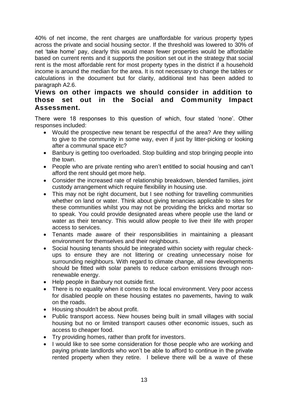40% of net income, the rent charges are unaffordable for various property types across the private and social housing sector. If the threshold was lowered to 30% of net 'take home' pay, clearly this would mean fewer properties would be affordable based on current rents and it supports the position set out in the strategy that social rent is the most affordable rent for most property types in the district if a household income is around the median for the area. It is not necessary to change the tables or calculations in the document but for clarity, additional text has been added to paragraph A2.6.

#### **Views on other impacts we should consider in addition to those set out in the Social and Community Impact Assessment.**

There were 18 responses to this question of which, four stated 'none'. Other responses included:

- Would the prospective new tenant be respectful of the area? Are they willing to give to the community in some way, even if just by litter-picking or looking after a communal space etc?
- Banbury is getting too overloaded. Stop building and stop bringing people into the town.
- People who are private renting who aren't entitled to social housing and can't afford the rent should get more help.
- Consider the increased rate of relationship breakdown, blended families, joint custody arrangement which require flexibility in housing use.
- This may not be right document, but I see nothing for travelling communities whether on land or water. Think about giving tenancies applicable to sites for these communities whilst you may not be providing the bricks and mortar so to speak. You could provide designated areas where people use the land or water as their tenancy. This would allow people to live their life with proper access to services.
- Tenants made aware of their responsibilities in maintaining a pleasant environment for themselves and their neighbours.
- Social housing tenants should be integrated within society with regular checkups to ensure they are not littering or creating unnecessary noise for surrounding neighbours. With regard to climate change, all new developments should be fitted with solar panels to reduce carbon emissions through nonrenewable energy.
- Help people in Banbury not outside first.
- There is no equality when it comes to the local environment. Very poor access for disabled people on these housing estates no pavements, having to walk on the roads.
- Housing shouldn't be about profit.
- Public transport access. New houses being built in small villages with social housing but no or limited transport causes other economic issues, such as access to cheaper food.
- Try providing homes, rather than profit for investors.
- I would like to see some consideration for those people who are working and paying private landlords who won't be able to afford to continue in the private rented property when they retire. I believe there will be a wave of these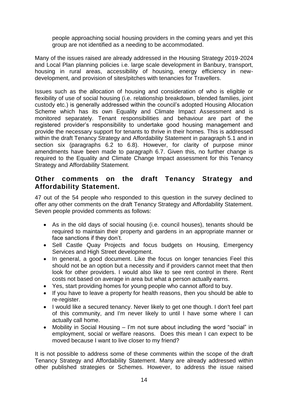people approaching social housing providers in the coming years and yet this group are not identified as a needing to be accommodated.

Many of the issues raised are already addressed in the Housing Strategy 2019-2024 and Local Plan planning policies i.e. large scale development in Banbury, transport, housing in rural areas, accessibility of housing, energy efficiency in newdevelopment, and provision of sites/pitches with tenancies for Travellers.

Issues such as the allocation of housing and consideration of who is eligible or flexibility of use of social housing (i.e. relationship breakdown, blended families, joint custody etc.) is generally addressed within the council's adopted Housing Allocation Scheme which has its own Equality and Climate Impact Assessment and is monitored separately. Tenant responsibilities and behaviour are part of the registered provider's responsibility to undertake good housing management and provide the necessary support for tenants to thrive in their homes. This is addressed within the draft Tenancy Strategy and Affordability Statement in paragraph 5.1 and in section six (paragraphs 6.2 to 6.8). However, for clarity of purpose minor amendments have been made to paragraph 6.7. Given this, no further change is required to the Equality and Climate Change Impact assessment for this Tenancy Strategy and Affordability Statement.

#### **Other comments on the draft Tenancy Strategy and Affordability Statement.**

47 out of the 54 people who responded to this question in the survey declined to offer any other comments on the draft Tenancy Strategy and Affordability Statement. Seven people provided comments as follows:

- As in the old days of social housing (i.e. council houses), tenants should be required to maintain their property and gardens in an appropriate manner or face sanctions if they don't.
- Sell Castle Quay Projects and focus budgets on Housing, Emergency Services and High Street development.
- In general, a good document. Like the focus on longer tenancies Feel this should not be an option but a necessity and if providers cannot meet that then look for other providers. I would also like to see rent control in there. Rent costs not based on average in area but what a person actually earns.
- Yes, start providing homes for young people who cannot afford to buy.
- If you have to leave a property for health reasons, then you should be able to re-register.
- I would like a secured tenancy. Never likely to get one though. I don't feel part of this community, and I'm never likely to until I have some where I can actually call home.
- Mobility in Social Housing I'm not sure about including the word "social" in employment, social or welfare reasons. Does this mean I can expect to be moved because I want to live closer to my friend?

It is not possible to address some of these comments within the scope of the draft Tenancy Strategy and Affordability Statement. Many are already addressed within other published strategies or Schemes. However, to address the issue raised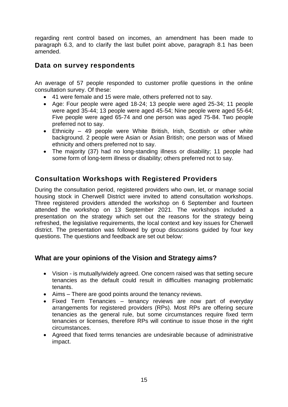regarding rent control based on incomes, an amendment has been made to paragraph 6.3, and to clarify the last bullet point above, paragraph 8.1 has been amended.

# **Data on survey respondents**

An average of 57 people responded to customer profile questions in the online consultation survey. Of these:

- 41 were female and 15 were male, others preferred not to say.
- Age: Four people were aged 18-24; 13 people were aged 25-34; 11 people were aged 35-44; 13 people were aged 45-54; Nine people were aged 55-64; Five people were aged 65-74 and one person was aged 75-84. Two people preferred not to say.
- Ethnicity 49 people were White British, Irish, Scottish or other white background. 2 people were Asian or Asian British; one person was of Mixed ethnicity and others preferred not to say.
- The majority (37) had no long-standing illness or disability; 11 people had some form of long-term illness or disability; others preferred not to say.

# **Consultation Workshops with Registered Providers**

During the consultation period, registered providers who own, let, or manage social housing stock in Cherwell District were invited to attend consultation workshops. Three registered providers attended the workshop on 6 September and fourteen attended the workshop on 13 September 2021. The workshops included a presentation on the strategy which set out the reasons for the strategy being refreshed, the legislative requirements, the local context and key issues for Cherwell district. The presentation was followed by group discussions guided by four key questions. The questions and feedback are set out below:

# **What are your opinions of the Vision and Strategy aims?**

- Vision is mutually/widely agreed. One concern raised was that setting secure tenancies as the default could result in difficulties managing problematic tenants.
- Aims There are good points around the tenancy reviews.
- Fixed Term Tenancies tenancy reviews are now part of everyday arrangements for registered providers (RPs). Most RPs are offering secure tenancies as the general rule, but some circumstances require fixed term tenancies or licenses, therefore RPs will continue to issue those in the right circumstances.
- Agreed that fixed terms tenancies are undesirable because of administrative impact.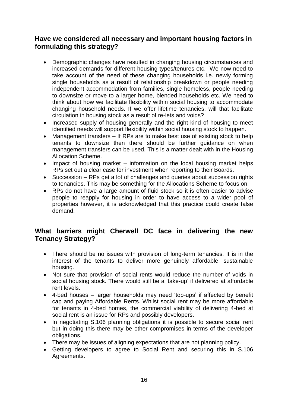# **Have we considered all necessary and important housing factors in formulating this strategy?**

- Demographic changes have resulted in changing housing circumstances and increased demands for different housing types/tenures etc. We now need to take account of the need of these changing households i.e. newly forming single households as a result of relationship breakdown or people needing independent accommodation from families, single homeless, people needing to downsize or move to a larger home, blended households etc. We need to think about how we facilitate flexibility within social housing to accommodate changing household needs. If we offer lifetime tenancies, will that facilitate circulation in housing stock as a result of re-lets and voids?
- Increased supply of housing generally and the right kind of housing to meet identified needs will support flexibility within social housing stock to happen.
- Management transfers If RPs are to make best use of existing stock to help tenants to downsize then there should be further guidance on when management transfers can be used. This is a matter dealt with in the Housing Allocation Scheme.
- Impact of housing market  $-$  information on the local housing market helps RPs set out a clear case for investment when reporting to their Boards.
- Succession RPs get a lot of challenges and queries about succession rights to tenancies. This may be something for the Allocations Scheme to focus on.
- RPs do not have a large amount of fluid stock so it is often easier to advise people to reapply for housing in order to have access to a wider pool of properties however, it is acknowledged that this practice could create false demand.

# **What barriers might Cherwell DC face in delivering the new Tenancy Strategy?**

- There should be no issues with provision of long-term tenancies. It is in the interest of the tenants to deliver more genuinely affordable, sustainable housing.
- Not sure that provision of social rents would reduce the number of voids in social housing stock. There would still be a 'take-up' if delivered at affordable rent levels.
- 4-bed houses larger households may need 'top-ups' if affected by benefit cap and paying Affordable Rents. Whilst social rent may be more affordable for tenants in 4-bed homes, the commercial viability of delivering 4-bed at social rent is an issue for RPs and possibly developers.
- In negotiating S.106 planning obligations it is possible to secure social rent but in doing this there may be other compromises in terms of the developer obligations.
- There may be issues of aligning expectations that are not planning policy.
- Getting developers to agree to Social Rent and securing this in S.106 Agreements.